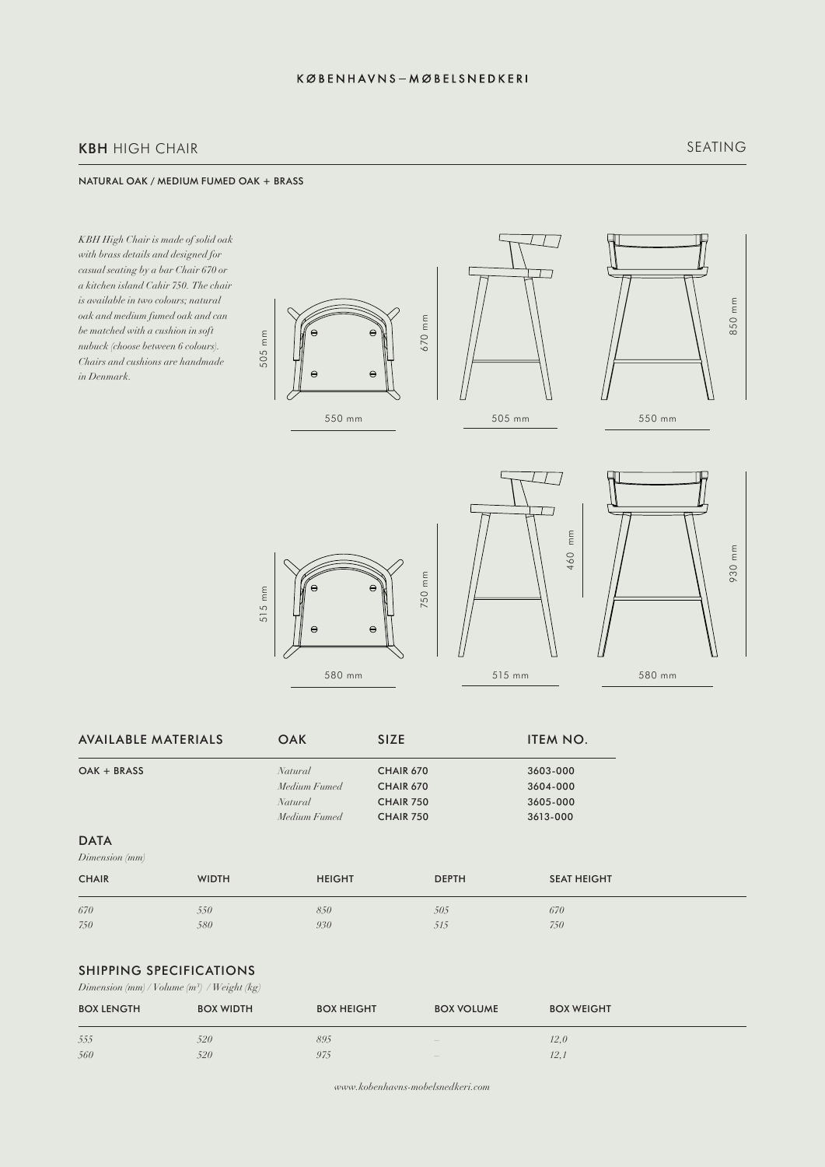# KBH HIGH CHAIR

### NATURAL OAK / MEDIUM FUMED OAK + BRASS

*KBH High Chair is made of solid oak with brass details and designed for casual seating by a bar Chair 670 or a kitchen island Cahir 750. The chair is available in two colours; natural oak and medium fumed oak and can be matched with a cushion in soft nubuck (choose between 6 colours). Chairs and cushions are handmade in Denmark.*









| AVAILABLE MATERIALS           |              | <b>OAK</b>     | <b>SIZE</b>      | ITEM NO.           |
|-------------------------------|--------------|----------------|------------------|--------------------|
| OAK + BRASS                   |              | <b>Natural</b> | <b>CHAIR 670</b> | 3603-000           |
|                               |              | Medium Fumed   | <b>CHAIR 670</b> | 3604-000           |
|                               |              | Natural        | <b>CHAIR 750</b> | 3605-000           |
|                               |              | Medium Fumed   | <b>CHAIR 750</b> | 3613-000           |
| <b>DATA</b><br>Dimension (mm) |              |                |                  |                    |
| <b>CHAIR</b>                  | <b>WIDTH</b> | <b>HEIGHT</b>  | <b>DEPTH</b>     | <b>SEAT HEIGHT</b> |
| 670                           | 550          | 850            | 505              | 670                |
| 750                           | 580          | 930            | 515              | 750                |
|                               |              |                |                  |                    |

## SHIPPING SPECIFICATIONS

*Dimension (mm) / Volume (m3 ) / Weight (kg)*

| <b>BOX LENGTH</b> | <b>BOX WIDTH</b> | <b>BOX HEIGHT</b> | <b>BOX VOLUME</b> | <b>BOX WEIGHT</b> |
|-------------------|------------------|-------------------|-------------------|-------------------|
| 555               | 520              | 895               | $\sim$            | 12.0              |
| 560               | 520              | 975               | $\sim$            | 12.               |

*www.kobenhavns-mobelsnedkeri.com*